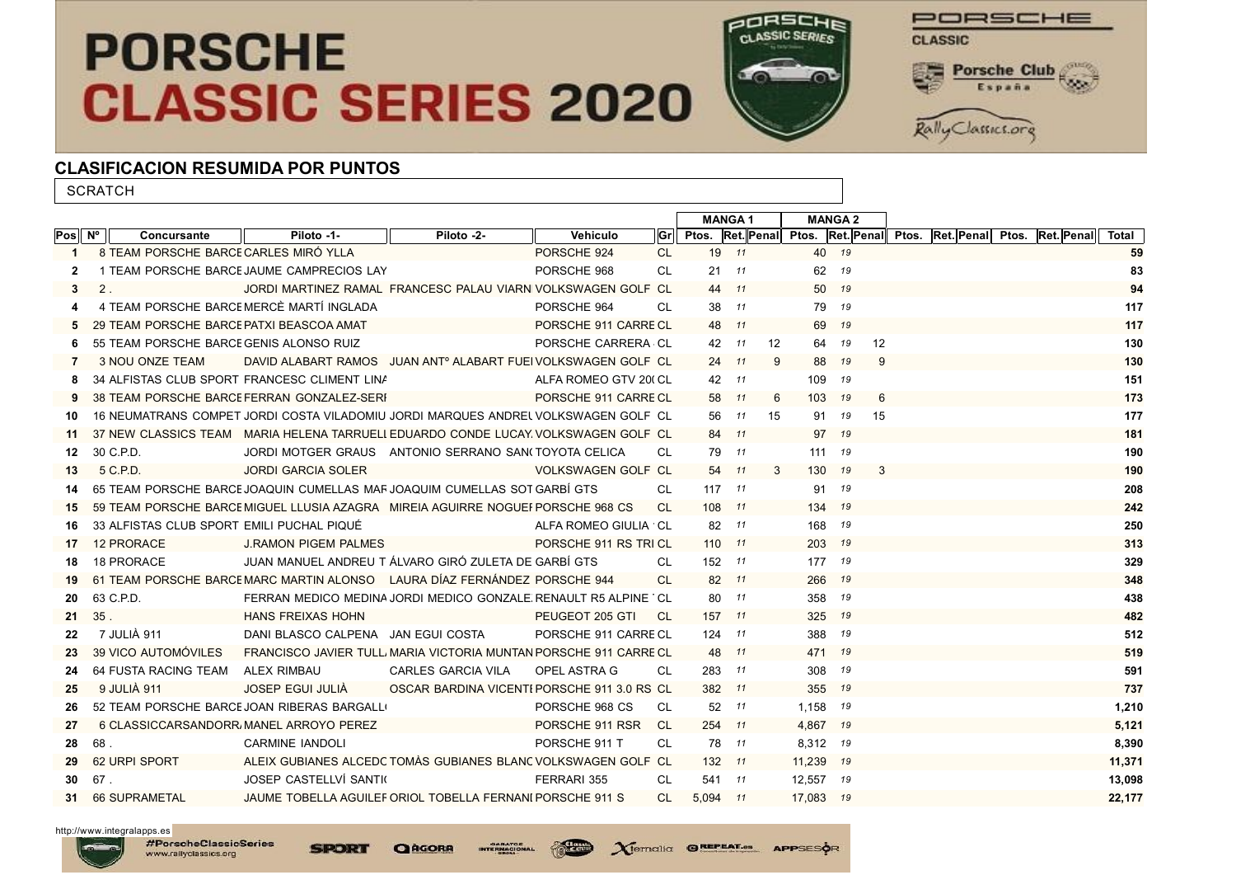## **PORSCHE CLASSIC SERIES 2020**



PORSCHE **CLASSIC Porsche Club** 

Rally Classics.org

## CLASIFICACION RESUMIDA POR PUNTOS

**SCRATCH** Pos $\|\,\mathsf{N}^\circ\,\|$  Concursante  $\|\,\|$  Piloto -1-  $\|\,\|$  Piloto -2-  $\|\,\|$  Vehiculo  $\|\mathsf{Gr}\|\,$  Ptos. MANGA 1 MANGA 2 Ret. Penal Ptos. Ret. Penal Ptos. Ret. Penal Ptos. Ret. Penal Total 1 8 TEAM PORSCHE BARCE CARLES MIRÓ YLLA **CARLES ANTENER EN CARLES DE CARLES DE CARLES DE CARLES DE CARLES DE CARLES DE CARLES DE CARLES DE CARLES DE CARLES DE CARLES DE CARLES DE CARLES DE CARLES DE CARLES DE CARLES DE CAR** 2 1 TEAM PORSCHE BARCE JAUME CAMPRECIOS LAY
83
83
83
83
82
1
TEAM
PORSCHE BARCE JAUME CAMPRECIOS LAY
83
83
82
1
9 3 2 . JORDI MARTINEZ RAMAL FRANCESC PALAU VIARN VOLKSWAGEN GOLF CL 44 *11* 50 *19* 94 50 19 94 4 4 TEAM PORSCHE BARCE MERCÈ MARTÍ INGLADA **A BRITA A PORSCHE 964** CL 38 <sup>11</sup> 79 <sup>19</sup> 19 5 29 TEAM PORSCHE BARCE PATXI BEASCOA AMAT **PORSCHE 911 CARRE CL 48 11** 69 19 12 12 6 55 TEAM PORSCHE BARCE GENIS ALONSO RUIZ **And Contained ACCL 12 10 12** 14 14 14 12 14 12 12 130 7 3 NOU ONZE TEAM DAVID ALABART RAMOS JUAN ANTº ALABART FUEI VOLKSWAGEN GOLF CL 24 11 9 88 19 9 8 34 ALFISTAS CLUB SPORT FRANCESC CLIMENT LINA<br>151 9 38 TEAM PORSCHE BARCE FERRAN GONZALEZ-SERF PORSCHE 911 CARRE CL 58 11 6 103 <sup>19</sup> 6 103 <sup>19</sup> 6 173 10 16 NEUMATRANS COMPET JORDI COSTA VILADOMIU JORDI MARQUES ANDREL VOLKSWAGEN GOLF CL 56 11 15 91 19 15 15 177 11 37 NEW CLASSICS TEAM MARIA HELENA TARRUELI EDUARDO CONDE LUCAY VOLKSWAGEN GOLF CL 84 11 97 19 12 30 C.P.D. JORDI MOTGER GRAUS ANTONIO SERRANO SAN(TOYOTA CELICA CL 79 11 111 19 13 5 C.P.D. JORDI GARCIA SOLER VOLKSWAGEN GOLF GTI MK2 CL 54 *11* 3 130 *19* 3 190 14 65 TEAM PORSCHE BARCELONA JAQUIN CUMELLAS MARSAJOAQUIM CUMELLAS SOTELO GARBÍ GTS CL 117 *11* 91 *19* 208 15 59 TEAM PORSCHE BARCE MIGUEL LLUSIA AZAGRA MIREIA AGUIRRE NOGUEI PORSCHE 968 CS CL 108 11 134 19 242 16 33 ALFISTAS CLUB SPORT EMILI PUCHAL PIQUÉ ALFA ROMEO GIULIA 1750 GTAM R CL 82 *11* 168 *19* 250 17 12 PRORACE J.RAMON PIGEM PALMES PORSCHE 911 RS TRIBUTE CL 110 *11* 203 *19* 313 18 18 PRORACE JUAN MANUEL ANDREU T<sup>I</sup> ÁLVARO GIRÓ ZULETA DE GARBÍ GTS CL 152 11 177 19 329 19 61 TEAM PORSCHE BARCELONA MARC MARTIN ALONSO LAURA DÍAZ FERNÁNDEZ PORSCHE 944 CL 82 *11* 266 *19* 348 20 63 C.P.D. FERRAN MEDICO MEDINA JORDI MEDICO GONZALE RENAULT R5 ALPINE CL 80 <sup>11</sup> 358 <sup>19</sup> 358 <sup>19</sup> 358 <sup>19</sup> 438 21 35 . HANS FREIXAS HOHN PEUGEOT 205 GTI CL 157 *11* 325 *19* 482 22 7 JULIÀ 911 DANI BLASCO CALPENA JAN EGUI COSTA PORSCHE 911 CARRE CL 124 *11* 388 <sup>19</sup> 512 23 39 VICO AUTOMÓVILES FRANCISCO JAVIER TULLI MARIA VICTORIA MUNTAN PORSCHE 911 CARRE CL 48 *11* 471 *19* 471 *19* 519 24 64 FUSTA RACING TEAM ALEX RIMBAU CARLES GARCIA VILA OPEL ASTRA G CL 283 *11* 308 *19* 591 25 9 JULIÀ 911 JOSEP EGUI JULIÀ OSCAR BARDINA VICENTEPORSCHE 911 3.0 RS CL 382 *11* 355 *19* 737 26 52 TEAM PORSCHE BARCE JOAN RIBERAS BARGALLO CONTROLLONAL PORSCHE 968 CS CL 52 11 1,158 19 1,210 1,210 27 6 CLASSICCARSANDORRAMANEL ARROYO PEREZ PORSCHE 911 RSR CL 254 *11* 4,867 *19* 5,121 28 68 . CARMINE IANDOLI PORSCHE 911 T CL 78 *11* 8,312 *19* 8,390 29 62 URPI SPORT ALEIX GUBIANES ALCEDC TOMÀS GUBIANES BLANC VOLKSWAGEN GOLF CL 132 <sup>11</sup> 11,239 <sup>19</sup> 11,239 <sup>19</sup> 11,371 30 67 . JOSEP CASTELLVÍ SANTIGOSA FERRARI 355 CL 541 *11* 12,557 *19* 13,098 31 66 SUPRAMETAL JAUME TOBELLA AGUILEF ORIOL TOBELLA FERNANI PORSCHE 911 S CL 5.094 <sup>11</sup> 17.083 <sup>19</sup> 22.177

http://www.integralapps.es

#PorscheClassicSeries

www.rallyclassics.org

**SPORT** 

**O**RGORA